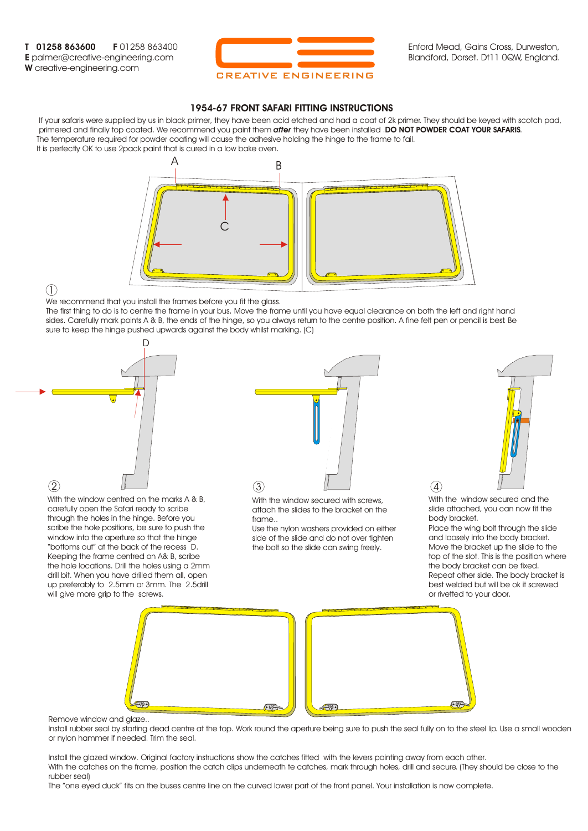**T 01258 863600 F** 01258 863400 **E** palmer@creative-engineering.com **W** creative-engineering.com



Enford Mead, Gains Cross, Durweston, Blandford, Dorset. Dt11 0QW, England.

## **1954-67 FRONT SAFARI FITTING INSTRUCTIONS**

 If your safaris were supplied by us in black primer, they have been acid etched and had a coat of 2k primer. They should be keyed with scotch pad, primered and finally top coated. We recommend you paint them *after* they have been installed .**DO NOT POWDER COAT YOUR SAFARIS**. The temperature required for powder coating will cause the adhesive holding the hinge to the frame to fail. It is perfectly OK to use 2pack paint that is cured in a low bake oven.



 $(1)$ 

We recommend that you install the frames before you fit the glass.

The first thing to do is to centre the frame in your bus. Move the frame until you have equal clearance on both the left and right hand sides. Carefully mark points A & B, the ends of the hinge, so you always return to the centre position. A fine felt pen or pencil is best. Be sure to keep the hinge pushed upwards against the body whilst marking. (C)



With the window centred on the marks A & B, carefully open the Safari ready to scribe through the holes in the hinge. Before you scribe the hole positions, be sure to push the window into the aperture so that the hinge "bottoms out" at the back of the recess D. Keeping the frame centred on A& B, scribe the hole locations. Drill the holes using a 2mm drill bit. When you have drilled them all, open up preferably to 2.5mm or 3mm. The 2.5drill will give more grip to the screws.



With the window secured with screws, attach the slides to the bracket on the frame..

Use the nylon washers provided on either side of the slide and do not over tighten the bolt so the slide can swing freely.



With the window secured and the slide attached, you can now fit the body bracket.

 $\left( 4\right)$ 

Place the wing bolt through the slide and loosely into the body bracket. Move the bracket up the slide to the top of the slot. This is the position where the body bracket can be fixed. Repeat other side. The body bracket is best welded but will be ok it screwed or rivetted to your door.



Remove window and glaze..

Install rubber seal by starting dead centre at the top. Work round the aperture being sure to push the seal fully on to the steel lip. Use a small wooden or nylon hammer if needed. Trim the seal.

Install the glazed window. Original factory instructions show the catches fitted with the levers pointing away from each other. With the catches on the frame, position the catch clips underneath te catches, mark through holes, drill and secure. (They should be close to the rubber seal)

The "one eyed duck" fits on the buses centre line on the curved lower part of the front panel. Your installation is now complete.